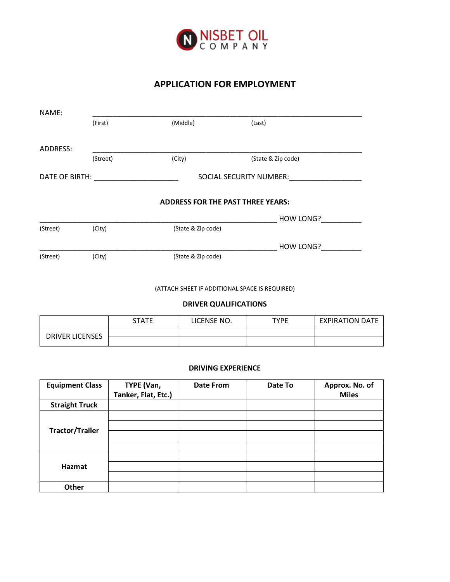

## **APPLICATION FOR EMPLOYMENT**

| NAME:          |          |                    |                                          |
|----------------|----------|--------------------|------------------------------------------|
|                | (First)  | (Middle)           | (Last)                                   |
| ADDRESS:       |          |                    |                                          |
|                | (Street) | (City)             | (State & Zip code)                       |
| DATE OF BIRTH: |          |                    | SOCIAL SECURITY NUMBER:                  |
|                |          |                    | <b>ADDRESS FOR THE PAST THREE YEARS:</b> |
|                |          |                    | HOW LONG?                                |
| (Street)       | (City)   | (State & Zip code) |                                          |
|                |          |                    | HOW LONG?                                |
| (Street)       | (City)   | (State & Zip code) |                                          |

(ATTACH SHEET IF ADDITIONAL SPACE IS REQUIRED)

## **DRIVER QUALIFICATIONS**

|                        | <b>STATE</b> | LICENSE NO. | <b>TYPE</b> | <b>EXPIRATION DATE</b> |
|------------------------|--------------|-------------|-------------|------------------------|
| <b>DRIVER LICENSES</b> |              |             |             |                        |
|                        |              |             |             |                        |

## **DRIVING EXPERIENCE**

| <b>Equipment Class</b> | TYPE (Van,<br>Tanker, Flat, Etc.) | <b>Date From</b> | Date To | Approx. No. of<br><b>Miles</b> |
|------------------------|-----------------------------------|------------------|---------|--------------------------------|
| <b>Straight Truck</b>  |                                   |                  |         |                                |
|                        |                                   |                  |         |                                |
| <b>Tractor/Trailer</b> |                                   |                  |         |                                |
|                        |                                   |                  |         |                                |
|                        |                                   |                  |         |                                |
|                        |                                   |                  |         |                                |
| Hazmat                 |                                   |                  |         |                                |
|                        |                                   |                  |         |                                |
| Other                  |                                   |                  |         |                                |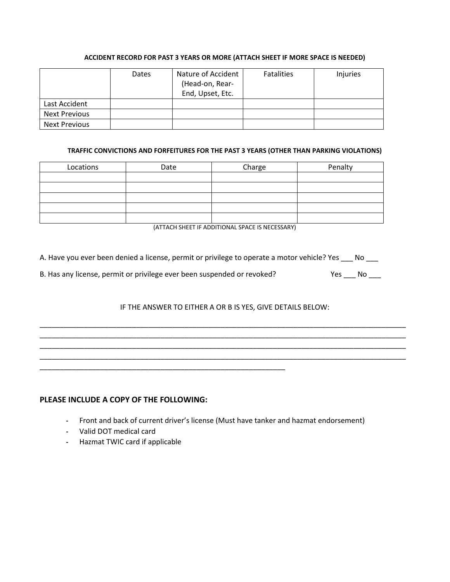## **ACCIDENT RECORD FOR PAST 3 YEARS OR MORE (ATTACH SHEET IF MORE SPACE IS NEEDED)**

|                      | Dates | Nature of Accident<br>(Head-on, Rear-<br>End, Upset, Etc. | <b>Fatalities</b> | Injuries |
|----------------------|-------|-----------------------------------------------------------|-------------------|----------|
| Last Accident        |       |                                                           |                   |          |
| <b>Next Previous</b> |       |                                                           |                   |          |
| <b>Next Previous</b> |       |                                                           |                   |          |

### **TRAFFIC CONVICTIONS AND FORFEITURES FOR THE PAST 3 YEARS (OTHER THAN PARKING VIOLATIONS)**

| Locations | Date | Charge | Penalty |
|-----------|------|--------|---------|
|           |      |        |         |
|           |      |        |         |
|           |      |        |         |
|           |      |        |         |
|           |      |        |         |

(ATTACH SHEET IF ADDITIONAL SPACE IS NECESSARY)

A. Have you ever been denied a license, permit or privilege to operate a motor vehicle? Yes \_\_\_ No \_\_\_

|  | B. Has any license, permit or privilege ever been suspended or revoked? | Yes No |  |
|--|-------------------------------------------------------------------------|--------|--|
|  |                                                                         |        |  |

## IF THE ANSWER TO EITHER A OR B IS YES, GIVE DETAILS BELOW:

\_\_\_\_\_\_\_\_\_\_\_\_\_\_\_\_\_\_\_\_\_\_\_\_\_\_\_\_\_\_\_\_\_\_\_\_\_\_\_\_\_\_\_\_\_\_\_\_\_\_\_\_\_\_\_\_\_\_\_\_\_\_\_\_\_\_\_\_\_\_\_\_\_\_\_\_\_\_\_\_\_\_\_\_\_\_\_\_\_\_\_ \_\_\_\_\_\_\_\_\_\_\_\_\_\_\_\_\_\_\_\_\_\_\_\_\_\_\_\_\_\_\_\_\_\_\_\_\_\_\_\_\_\_\_\_\_\_\_\_\_\_\_\_\_\_\_\_\_\_\_\_\_\_\_\_\_\_\_\_\_\_\_\_\_\_\_\_\_\_\_\_\_\_\_\_\_\_\_\_\_\_\_ \_\_\_\_\_\_\_\_\_\_\_\_\_\_\_\_\_\_\_\_\_\_\_\_\_\_\_\_\_\_\_\_\_\_\_\_\_\_\_\_\_\_\_\_\_\_\_\_\_\_\_\_\_\_\_\_\_\_\_\_\_\_\_\_\_\_\_\_\_\_\_\_\_\_\_\_\_\_\_\_\_\_\_\_\_\_\_\_\_\_\_ \_\_\_\_\_\_\_\_\_\_\_\_\_\_\_\_\_\_\_\_\_\_\_\_\_\_\_\_\_\_\_\_\_\_\_\_\_\_\_\_\_\_\_\_\_\_\_\_\_\_\_\_\_\_\_\_\_\_\_\_\_\_\_\_\_\_\_\_\_\_\_\_\_\_\_\_\_\_\_\_\_\_\_\_\_\_\_\_\_\_\_

## **PLEASE INCLUDE A COPY OF THE FOLLOWING:**

\_\_\_\_\_\_\_\_\_\_\_\_\_\_\_\_\_\_\_\_\_\_\_\_\_\_\_\_\_\_\_\_\_\_\_\_\_\_\_\_\_\_\_\_\_\_\_\_\_\_\_\_\_\_\_\_\_\_\_\_\_

- **-** Front and back of current driver's license (Must have tanker and hazmat endorsement)
- **-** Valid DOT medical card
- **-** Hazmat TWIC card if applicable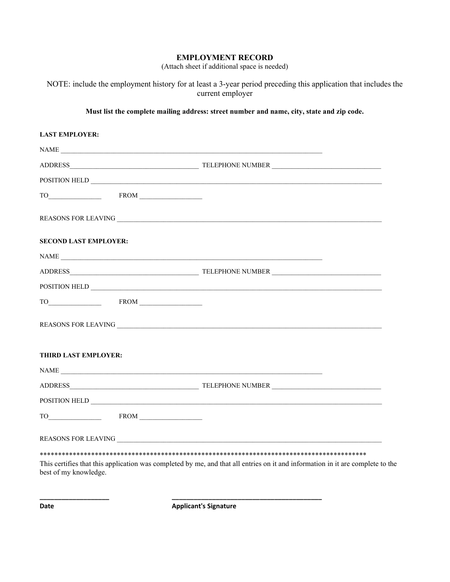## **EMPLOYMENT RECORD**

(Attach sheet if additional space is needed)

NOTE: include the employment history for at least a 3-year period preceding this application that includes the current employer

### **Must list the complete mailing address: street number and name, city, state and zip code.**

| <b>LAST EMPLOYER:</b>        |                                                                                                                                |  |
|------------------------------|--------------------------------------------------------------------------------------------------------------------------------|--|
|                              | NAME                                                                                                                           |  |
|                              |                                                                                                                                |  |
|                              |                                                                                                                                |  |
|                              |                                                                                                                                |  |
|                              |                                                                                                                                |  |
| <b>SECOND LAST EMPLOYER:</b> |                                                                                                                                |  |
|                              |                                                                                                                                |  |
|                              |                                                                                                                                |  |
|                              |                                                                                                                                |  |
|                              |                                                                                                                                |  |
|                              |                                                                                                                                |  |
| <b>THIRD LAST EMPLOYER:</b>  |                                                                                                                                |  |
|                              | NAME                                                                                                                           |  |
|                              |                                                                                                                                |  |
|                              | POSITION HELD                                                                                                                  |  |
|                              |                                                                                                                                |  |
|                              |                                                                                                                                |  |
|                              |                                                                                                                                |  |
| best of my knowledge.        | This certifies that this application was completed by me, and that all entries on it and information in it are complete to the |  |

**Date Date Applicant's Signature** 

**\_\_\_\_\_\_\_\_\_\_\_\_\_\_\_\_\_\_\_ \_\_\_\_\_\_\_\_\_\_\_\_\_\_\_\_\_\_\_\_\_\_\_\_\_\_\_\_\_\_\_\_\_\_\_\_\_\_\_\_\_**